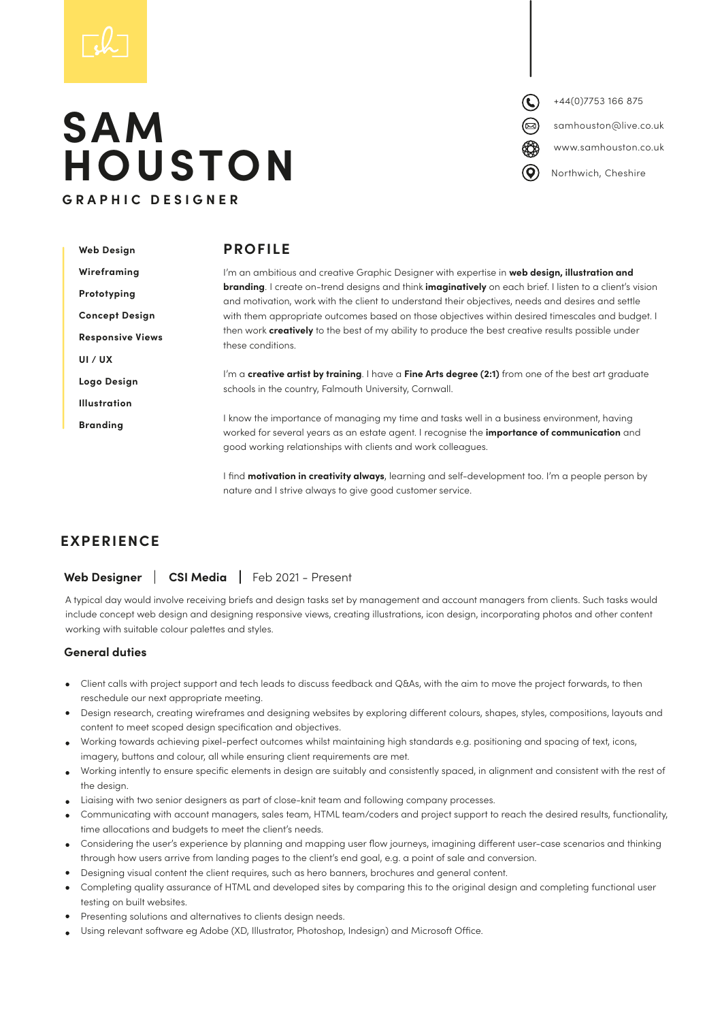# **SAM HOUSTON GRAPHIC DESIGNER**

+44(0)7753 166 875 www.samhouston.co.uk samhouston@live.co.uk Northwich, Cheshire

| <b>Web Design</b>       | <b>PROFILE</b>                                                                                                                                                                                                                                                    |
|-------------------------|-------------------------------------------------------------------------------------------------------------------------------------------------------------------------------------------------------------------------------------------------------------------|
| Wireframing             | I'm an ambitious and creative Graphic Designer with expertise in web design, illustration and                                                                                                                                                                     |
| Prototyping             | <b>branding.</b> I create on-trend designs and think <b>imaginatively</b> on each brief. I listen to a client's vision<br>and motivation, work with the client to understand their objectives, needs and desires and settle                                       |
| <b>Concept Design</b>   | with them appropriate outcomes based on those objectives within desired timescales and budget. I                                                                                                                                                                  |
| <b>Responsive Views</b> | then work <b>creatively</b> to the best of my ability to produce the best creative results possible under<br>these conditions.                                                                                                                                    |
| UI / UX                 |                                                                                                                                                                                                                                                                   |
| Logo Design             | I'm a creative artist by training. I have a Fine Arts degree (2:1) from one of the best art graduate<br>schools in the country, Falmouth University, Cornwall.                                                                                                    |
| <b>Illustration</b>     |                                                                                                                                                                                                                                                                   |
| <b>Branding</b>         | I know the importance of managing my time and tasks well in a business environment, having<br>worked for several years as an estate agent. I recognise the <b>importance of communication</b> and<br>good working relationships with clients and work colleagues. |

I find **motivation in creativity always**, learning and self-development too. I'm a people person by nature and I strive always to give good customer service.

### **EXPERIENCE**

### **Web Designer | CSI Media |** Feb 2021 - Present

A typical day would involve receiving briefs and design tasks set by management and account managers from clients. Such tasks would include concept web design and designing responsive views, creating illustrations, icon design, incorporating photos and other content working with suitable colour palettes and styles.

### **General duties**

- Client calls with project support and tech leads to discuss feedback and Q&As, with the aim to move the project forwards, to then reschedule our next appropriate meeting.
- Design research, creating wireframes and designing websites by exploring different colours, shapes, styles, compositions, layouts and content to meet scoped design specification and objectives.
- Working towards achieving pixel-perfect outcomes whilst maintaining high standards e.g. positioning and spacing of text, icons, imagery, buttons and colour, all while ensuring client requirements are met.
- Working intently to ensure specific elements in design are suitably and consistently spaced, in alignment and consistent with the rest of the design.
- Liaising with two senior designers as part of close-knit team and following company processes.
- Communicating with account managers, sales team, HTML team/coders and project support to reach the desired results, functionality, time allocations and budgets to meet the client's needs.
- Considering the user's experience by planning and mapping user flow journeys, imagining different user-case scenarios and thinking through how users arrive from landing pages to the client's end goal, e.g. a point of sale and conversion.
- Designing visual content the client requires, such as hero banners, brochures and general content.
- Completing quality assurance of HTML and developed sites by comparing this to the original design and completing functional user testing on built websites.
- Presenting solutions and alternatives to clients design needs.
- Using relevant software eg Adobe (XD, Illustrator, Photoshop, Indesign) and Microsoft Office.